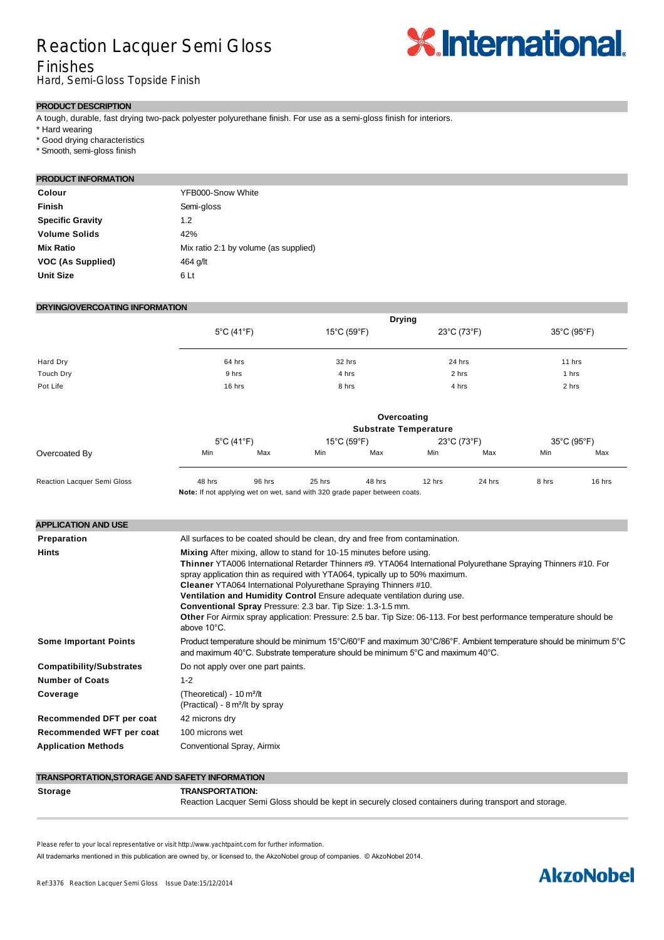# Reaction Lacquer Semi Gloss

# **X.International.**

## Finishes

Hard, Semi-Gloss Topside Finish

#### **PRODUCT DESCRIPTION**

A tough, durable, fast drying two-pack polyester polyurethane finish. For use as a semi-gloss finish for interiors.

\* Hard wearing

- \* Good drying characteristics
- \* Smooth, semi-gloss finish

#### **PRODUCT INFORMATION**

| Colour                  | YFB000-Snow White                     |
|-------------------------|---------------------------------------|
| Finish                  | Semi-gloss                            |
| <b>Specific Gravity</b> | 1.2                                   |
| <b>Volume Solids</b>    | 42%                                   |
| <b>Mix Ratio</b>        | Mix ratio 2:1 by volume (as supplied) |
| VOC (As Supplied)       | 464 g/lt                              |
| <b>Unit Size</b>        | 6 Lt                                  |

#### **DRYING/OVERCOATING INFORMATION**

|                                    | <b>Drying</b>                                                                                                                                                                                                                                                                                                                                                                                                                                                                                                                                                                                                               |                 |                                                                             |        |                                  |        |                       |        |  |  |
|------------------------------------|-----------------------------------------------------------------------------------------------------------------------------------------------------------------------------------------------------------------------------------------------------------------------------------------------------------------------------------------------------------------------------------------------------------------------------------------------------------------------------------------------------------------------------------------------------------------------------------------------------------------------------|-----------------|-----------------------------------------------------------------------------|--------|----------------------------------|--------|-----------------------|--------|--|--|
|                                    | $5^{\circ}$ C (41 $^{\circ}$ F)<br>64 hrs<br>9 hrs                                                                                                                                                                                                                                                                                                                                                                                                                                                                                                                                                                          |                 | 15°C (59°F)<br>32 hrs                                                       |        | 23°C (73°F)<br>24 hrs            |        | 35°C (95°F)<br>11 hrs |        |  |  |
| Hard Dry                           |                                                                                                                                                                                                                                                                                                                                                                                                                                                                                                                                                                                                                             |                 |                                                                             |        |                                  |        |                       |        |  |  |
| <b>Touch Dry</b>                   |                                                                                                                                                                                                                                                                                                                                                                                                                                                                                                                                                                                                                             |                 | 4 hrs                                                                       |        | 2 hrs                            |        | 1 hrs                 |        |  |  |
| Pot Life                           | 16 hrs                                                                                                                                                                                                                                                                                                                                                                                                                                                                                                                                                                                                                      |                 | 8 hrs                                                                       |        | 4 hrs                            |        | 2 hrs                 |        |  |  |
|                                    | Overcoating                                                                                                                                                                                                                                                                                                                                                                                                                                                                                                                                                                                                                 |                 |                                                                             |        |                                  |        |                       |        |  |  |
|                                    | <b>Substrate Temperature</b>                                                                                                                                                                                                                                                                                                                                                                                                                                                                                                                                                                                                |                 |                                                                             |        |                                  |        |                       |        |  |  |
|                                    | $5^{\circ}$ C (41 $^{\circ}$ F)                                                                                                                                                                                                                                                                                                                                                                                                                                                                                                                                                                                             |                 | 15°C (59°F)                                                                 |        | $23^{\circ}$ C (73 $^{\circ}$ F) |        | 35°C (95°F)           |        |  |  |
| Overcoated By                      | Min                                                                                                                                                                                                                                                                                                                                                                                                                                                                                                                                                                                                                         | Max             | Min                                                                         | Max    | Min                              | Max    | Min                   | Max    |  |  |
| <b>Reaction Lacquer Semi Gloss</b> | 48 hrs                                                                                                                                                                                                                                                                                                                                                                                                                                                                                                                                                                                                                      | 96 hrs          | 25 hrs                                                                      | 48 hrs | 12 hrs                           | 24 hrs | 8 hrs                 | 16 hrs |  |  |
|                                    | Note: If not applying wet on wet, sand with 320 grade paper between coats.                                                                                                                                                                                                                                                                                                                                                                                                                                                                                                                                                  |                 |                                                                             |        |                                  |        |                       |        |  |  |
| <b>APPLICATION AND USE</b>         |                                                                                                                                                                                                                                                                                                                                                                                                                                                                                                                                                                                                                             |                 |                                                                             |        |                                  |        |                       |        |  |  |
| Preparation                        |                                                                                                                                                                                                                                                                                                                                                                                                                                                                                                                                                                                                                             |                 | All surfaces to be coated should be clean, dry and free from contamination. |        |                                  |        |                       |        |  |  |
| Hints                              | Mixing After mixing, allow to stand for 10-15 minutes before using.<br>Thinner YTA006 International Retarder Thinners #9. YTA064 International Polyurethane Spraying Thinners #10. For<br>spray application thin as required with YTA064, typically up to 50% maximum.<br>Cleaner YTA064 International Polyurethane Spraying Thinners #10.<br>Ventilation and Humidity Control Ensure adequate ventilation during use.<br>Conventional Spray Pressure: 2.3 bar. Tip Size: 1.3-1.5 mm.<br>Other For Airmix spray application: Pressure: 2.5 bar. Tip Size: 06-113. For best performance temperature should be<br>above 10°C. |                 |                                                                             |        |                                  |        |                       |        |  |  |
| <b>Some Important Points</b>       | Product temperature should be minimum 15°C/60°F and maximum 30°C/86°F. Ambient temperature should be minimum 5°C<br>and maximum 40°C. Substrate temperature should be minimum 5°C and maximum 40°C.                                                                                                                                                                                                                                                                                                                                                                                                                         |                 |                                                                             |        |                                  |        |                       |        |  |  |
| <b>Compatibility/Substrates</b>    | Do not apply over one part paints.                                                                                                                                                                                                                                                                                                                                                                                                                                                                                                                                                                                          |                 |                                                                             |        |                                  |        |                       |        |  |  |
| <b>Number of Coats</b>             | $1 - 2$                                                                                                                                                                                                                                                                                                                                                                                                                                                                                                                                                                                                                     |                 |                                                                             |        |                                  |        |                       |        |  |  |
| Coverage                           | (Theoretical) - 10 m <sup>2</sup> /lt<br>(Practical) - 8 m <sup>2</sup> /lt by spray                                                                                                                                                                                                                                                                                                                                                                                                                                                                                                                                        |                 |                                                                             |        |                                  |        |                       |        |  |  |
| Recommended DFT per coat           | 42 microns dry                                                                                                                                                                                                                                                                                                                                                                                                                                                                                                                                                                                                              |                 |                                                                             |        |                                  |        |                       |        |  |  |
| Recommended WFT per coat           |                                                                                                                                                                                                                                                                                                                                                                                                                                                                                                                                                                                                                             | 100 microns wet |                                                                             |        |                                  |        |                       |        |  |  |
| <b>Application Methods</b>         | Conventional Spray, Airmix                                                                                                                                                                                                                                                                                                                                                                                                                                                                                                                                                                                                  |                 |                                                                             |        |                                  |        |                       |        |  |  |

#### **Storage TRANSPORTATION:** Reaction Lacquer Semi Gloss should be kept in securely closed containers during transport and storage.

Please refer to your local representative or visit http://www.yachtpaint.com for further information.

All trademarks mentioned in this publication are owned by, or licensed to, the AkzoNobel group of companies. © AkzoNobel 2014.

**TRANSPORTATION,STORAGE AND SAFETY INFORMATION**

# **AkzoNobel**